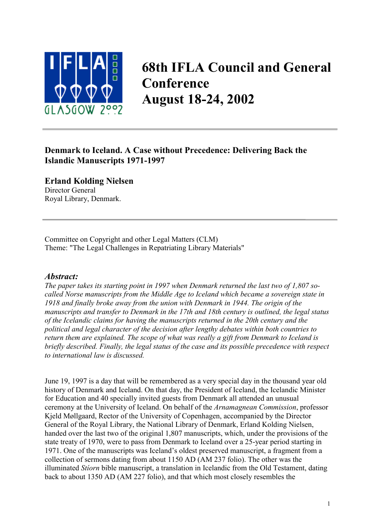

# **68th IFLA Council and General Conference August 18-24, 2002**

# **Denmark to Iceland. A Case without Precedence: Delivering Back the Islandic Manuscripts 1971-1997**

**Erland Kolding Nielsen** Director General

Royal Library, Denmark.

Committee on Copyright and other Legal Matters (CLM) Theme: "The Legal Challenges in Repatriating Library Materials"

## *Abstract:*

*The paper takes its starting point in 1997 when Denmark returned the last two of 1,807 socalled Norse manuscripts from the Middle Age to Iceland which became a sovereign state in 1918 and finally broke away from the union with Denmark in 1944. The origin of the manuscripts and transfer to Denmark in the 17th and 18th century is outlined, the legal status of the Icelandic claims for having the manuscripts returned in the 20th century and the political and legal character of the decision after lengthy debates within both countries to return them are explained. The scope of what was really a gift from Denmark to Iceland is briefly described. Finally, the legal status of the case and its possible precedence with respect to international law is discussed.* 

June 19, 1997 is a day that will be remembered as a very special day in the thousand year old history of Denmark and Iceland. On that day, the President of Iceland, the Icelandic Minister for Education and 40 specially invited guests from Denmark all attended an unusual ceremony at the University of Iceland. On behalf of the *Arnamagnean Commission*, professor Kjeld Møllgaard, Rector of the University of Copenhagen, accompanied by the Director General of the Royal Library, the National Library of Denmark, Erland Kolding Nielsen, handed over the last two of the original 1,807 manuscripts, which, under the provisions of the state treaty of 1970, were to pass from Denmark to Iceland over a 25-year period starting in 1971. One of the manuscripts was Iceland's oldest preserved manuscript, a fragment from a collection of sermons dating from about 1150 AD (AM 237 folio). The other was the illuminated *Stíorn* bible manuscript, a translation in Icelandic from the Old Testament, dating back to about 1350 AD (AM 227 folio), and that which most closely resembles the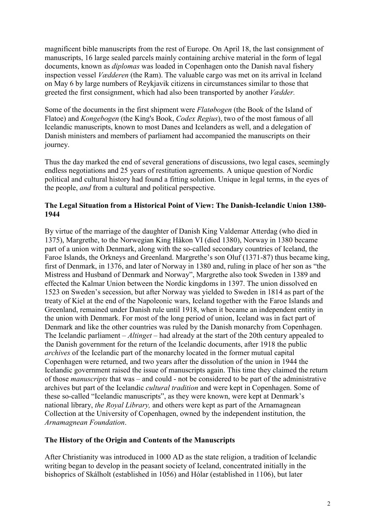magnificent bible manuscripts from the rest of Europe. On April 18, the last consignment of manuscripts, 16 large sealed parcels mainly containing archive material in the form of legal documents, known as *diplomas* was loaded in Copenhagen onto the Danish naval fishery inspection vessel *Vædderen* (the Ram). The valuable cargo was met on its arrival in Iceland on May 6 by large numbers of Reykjavik citizens in circumstances similar to those that greeted the first consignment, which had also been transported by another *Vædder.*

Some of the documents in the first shipment were *Flatøbogen* (the Book of the Island of Flatoe) and *Kongebogen* (the King's Book, *Codex Regius*), two of the most famous of all Icelandic manuscripts, known to most Danes and Icelanders as well, and a delegation of Danish ministers and members of parliament had accompanied the manuscripts on their journey.

Thus the day marked the end of several generations of discussions, two legal cases, seemingly endless negotiations and 25 years of restitution agreements. A unique question of Nordic political and cultural history had found a fitting solution. Unique in legal terms, in the eyes of the people, *and* from a cultural and political perspective.

#### **The Legal Situation from a Historical Point of View: The Danish-Icelandic Union 1380- 1944**

By virtue of the marriage of the daughter of Danish King Valdemar Atterdag (who died in 1375), Margrethe, to the Norwegian King Håkon VI (died 1380), Norway in 1380 became part of a union with Denmark, along with the so-called secondary countries of Iceland, the Faroe Islands, the Orkneys and Greenland. Margrethe's son Oluf (1371-87) thus became king, first of Denmark, in 1376, and later of Norway in 1380 and, ruling in place of her son as "the Mistress and Husband of Denmark and Norway", Margrethe also took Sweden in 1389 and effected the Kalmar Union between the Nordic kingdoms in 1397. The union dissolved en 1523 on Sweden's secession, but after Norway was yielded to Sweden in 1814 as part of the treaty of Kiel at the end of the Napoleonic wars, Iceland together with the Faroe Islands and Greenland, remained under Danish rule until 1918, when it became an independent entity in the union with Denmark. For most of the long period of union, Iceland was in fact part of Denmark and like the other countries was ruled by the Danish monarchy from Copenhagen. The Icelandic parliament – *Altinget* – had already at the start of the 20th century appealed to the Danish government for the return of the Icelandic documents, after 1918 the public *archives* of the Icelandic part of the monarchy located in the former mutual capital Copenhagen were returned, and two years after the dissolution of the union in 1944 the Icelandic government raised the issue of manuscripts again. This time they claimed the return of those *manuscripts* that was – and could - not be considered to be part of the administrative archives but part of the Icelandic *cultural tradition* and were kept in Copenhagen. Some of these so-called "Icelandic manuscripts", as they were known, were kept at Denmark's national library, *the Royal Library,* and others were kept as part of the Arnamagnean Collection at the University of Copenhagen, owned by the independent institution, the *Arnamagnean Foundation*.

#### **The History of the Origin and Contents of the Manuscripts**

After Christianity was introduced in 1000 AD as the state religion, a tradition of Icelandic writing began to develop in the peasant society of Iceland, concentrated initially in the bishoprics of Skálholt (established in 1056) and Hólar (established in 1106), but later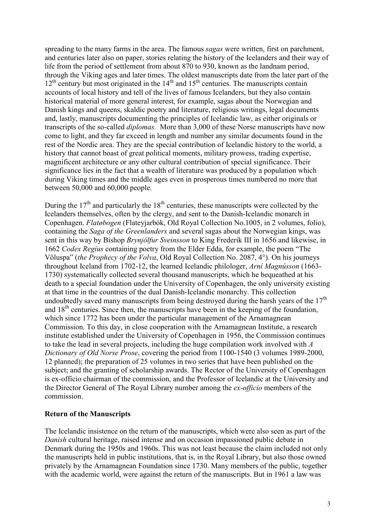spreading to the many farms in the area. The famous *sagas* were written, first on parchment, and centuries later also on paper, stories relating the history of the Icelanders and their way of life from the period of settlement from about 870 to 930, known as the landnam period, through the Viking ages and later times. The oldest manuscripts date from the later part of the 12<sup>th</sup> century but most originated in the 14<sup>th</sup> and 15<sup>th</sup> centuries. The manuscripts contain accounts of local history and tell of the lives of famous Icelanders, but they also contain historical material of more general interest, for example, sagas about the Norwegian and Danish kings and queens, skaldic poetry and literature, religious writings, legal documents and, lastly, manuscripts documenting the principles of Icelandic law, as either originals or transcripts of the so-called *diplomas.* More than 3,000 of these Norse manuscripts have now come to light, and they far exceed in length and number any similar documents found in the rest of the Nordic area. They are the special contribution of Icelandic history to the world, a history that cannot boast of great political moments, military prowess, trading expertise, magnificent architecture or any other cultural contribution of special significance. Their significance lies in the fact that a wealth of literature was produced by a population which during Viking times and the middle ages even in prosperous times numbered no more that between 50,000 and 60,000 people.

During the  $17<sup>th</sup>$  and particularly the  $18<sup>th</sup>$  centuries, these manuscripts were collected by the Icelanders themselves, often by the clergy, and sent to the Danish-Icelandic monarch in Copenhagen. *Flatøbogen* (Flateyjarbók, Old Royal Collection No.1005, in 2 volumes, folio), containing the *Saga of the Greenlanders* and several sagas about the Norwegian kings, was sent in this way by Bishop *Brynjólfur Sveinsson* to King Frederik III in 1656 and likewise, in 1662 *Codex Regius* containing poetry from the Elder Edda, for example, the poem "The Völuspa" (*the Prophecy of the Volva*, Old Royal Collection No. 2087, 4°). On his journeys throughout Iceland from 1702-12, the learned Icelandic philologer, *Arní Magnússon* (1663- 1730) systematically collected several thousand manuscripts, which he bequeathed at his death to a special foundation under the University of Copenhagen, the only university existing at that time in the countries of the dual Danish-Icelandic monarchy. This collection undoubtedly saved many manuscripts from being destroyed during the harsh years of the  $17<sup>th</sup>$ and  $18<sup>th</sup>$  centuries. Since then, the manuscripts have been in the keeping of the foundation, which since 1772 has been under the particular management of the Arnamagnean Commission. To this day, in close cooperation with the Arnamagnean Institute, a research institute established under the University of Copenhagen in 1956, the Commission continues to take the lead in several projects, including the huge compilation work involved with *A Dictionary of Old Norse Prose*, covering the period from 1100-1540 (3 volumes 1989-2000, 12 planned); the preparation of 25 volumes in two series that have been published on the subject; and the granting of scholarship awards. The Rector of the University of Copenhagen is ex-officio chairman of the commission, and the Professor of Icelandic at the University and the Director General of The Royal Library number among the *ex-officio* members of the commission.

#### **Return of the Manuscripts**

The Icelandic insistence on the return of the manuscripts, which were also seen as part of the *Danish* cultural heritage, raised intense and on occasion impassioned public debate in Denmark during the 1950s and 1960s. This was not least because the claim included not only the manuscripts held in public institutions, that is, in the Royal Library, but also those owned privately by the Arnamagnean Foundation since 1730. Many members of the public, together with the academic world, were against the return of the manuscripts. But in 1961 a law was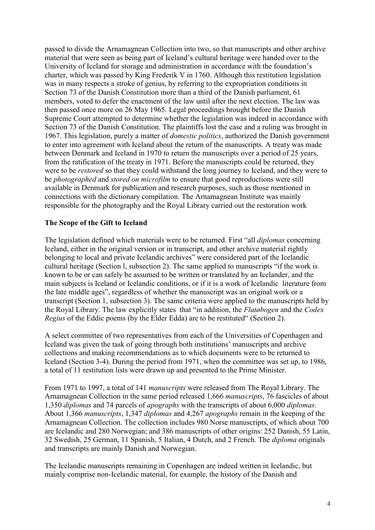passed to divide the Arnamagnean Collection into two, so that manuscripts and other archive material that were seen as being part of Iceland's cultural heritage were handed over to the University of Iceland for storage and administration in accordance with the foundation's charter, which was passed by King Frederik V in 1760. Although this restitution legislation was in many respects a stroke of genius, by referring to the expropriation conditions in Section 73 of the Danish Constitution more than a third of the Danish parliament, 61 members, voted to defer the enactment of the law until after the next election. The law was then passed once more on 26 May 1965. Legal proceedings brought before the Danish Supreme Court attempted to determine whether the legislation was indeed in accordance with Section 73 of the Danish Constitution. The plaintiffs lost the case and a ruling was brought in 1967. This legislation, purely a matter of *domestic politics*, authorized the Danish government to enter into agreement with Iceland about the return of the manuscripts. A treaty was made between Denmark and Iceland in 1970 to return the manuscripts over a period of 25 years, from the ratification of the treaty in 1971. Before the manuscripts could be returned, they were to be *restored* so that they could withstand the long journey to Iceland, and they were to be *photographed* and *stored on microfilm* to ensure that good reproductions were still available in Denmark for publication and research purposes, such as those mentioned in connections with the dictionary compilation. The Arnamagnean Institute was mainly responsible for the photography and the Royal Library carried out the restoration work

#### **The Scope of the Gift to Iceland**

The legislation defined which materials were to be returned. First "all *diplomas* concerning Iceland, either in the original version or in transcript, and other archive material rightly belonging to local and private Icelandic archives" were considered part of the Icelandic cultural heritage (Section l, subsection 2). The same applied to manuscripts "if the work is known to be or can safely be assumed to be written or translated by an Icelander, and the main subjects is Iceland or Icelandic conditions, or if it is a work of Icelandic literature from the late middle ages", regardless of whether the manuscript was an original work or a transcript (Section 1, subsection 3). The same criteria were applied to the manuscripts held by the Royal Library. The law explicitly states that "in addition, the *Flatøbogen* and the *Codex Regius* of the Eddic poems (by the Elder Edda) are to be restituted" (Section 2).

A select committee of two representatives from each of the Universities of Copenhagen and Iceland was given the task of going through both institutions' manuscripts and archive collections and making recommendations as to which documents were to be returned to Iceland (Section 3-4). During the period from 1971, when the committee was set up, to 1986, a total of 11 restitution lists were drawn up and presented to the Prime Minister.

From 1971 to 1997, a total of 141 *manuscripts* were released from The Royal Library. The Arnamagnean Collection in the same period released 1,666 *manuscripts*, 76 fascicles of about 1,350 *diplomas* and 74 parcels of *apographs* with the transcripts of about 6,000 *diplomas.* About 1,366 *manuscripts*, 1,347 *diplomas* and 4,267 *apographs* remain in the keeping of the Arnamagnean Collection. The collection includes 980 Norse manuscripts, of which about 700 are Icelandic and 280 Norwegian; and 386 manuscripts of other origins: 252 Danish, 55 Latin, 32 Swedish, 25 German, 11 Spanish, 5 Italian, 4 Dutch, and 2 French. The *diploma* originals and transcripts are mainly Danish and Norwegian.

The Icelandic manuscripts remaining in Copenhagen are indeed written in Icelandic, but mainly comprise non-Icelandic material, for example, the history of the Danish and